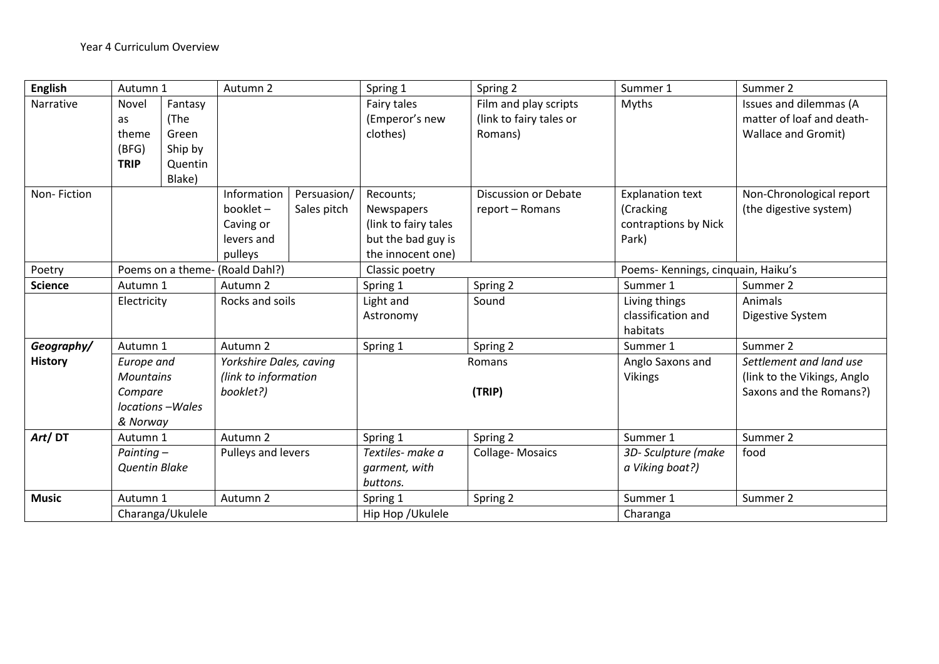| <b>English</b> | Autumn 1                                                                 |                                                          | Autumn 2                                                      |                            | Spring 1                                                                                          | Spring 2                                                    | Summer 1                                                              | Summer 2                                                                          |
|----------------|--------------------------------------------------------------------------|----------------------------------------------------------|---------------------------------------------------------------|----------------------------|---------------------------------------------------------------------------------------------------|-------------------------------------------------------------|-----------------------------------------------------------------------|-----------------------------------------------------------------------------------|
| Narrative      | Novel<br>as<br>theme<br>(BFG)<br><b>TRIP</b>                             | Fantasy<br>(The<br>Green<br>Ship by<br>Quentin<br>Blake) |                                                               |                            | Fairy tales<br>(Emperor's new<br>clothes)                                                         | Film and play scripts<br>(link to fairy tales or<br>Romans) | Myths                                                                 | Issues and dilemmas (A<br>matter of loaf and death-<br><b>Wallace and Gromit)</b> |
| Non-Fiction    |                                                                          |                                                          | Information<br>booklet-<br>Caving or<br>levers and<br>pulleys | Persuasion/<br>Sales pitch | Recounts;<br><b>Newspapers</b><br>(link to fairy tales<br>but the bad guy is<br>the innocent one) | <b>Discussion or Debate</b><br>report - Romans              | <b>Explanation text</b><br>(Cracking<br>contraptions by Nick<br>Park) | Non-Chronological report<br>(the digestive system)                                |
| Poetry         | Poems on a theme-                                                        |                                                          | (Roald Dahl?)                                                 |                            | Classic poetry                                                                                    |                                                             | Poems- Kennings, cinquain, Haiku's                                    |                                                                                   |
| <b>Science</b> | Autumn 1                                                                 |                                                          | Autumn 2                                                      |                            | Spring 1                                                                                          | Spring 2                                                    | Summer 1                                                              | Summer 2                                                                          |
|                | Electricity                                                              |                                                          | Rocks and soils                                               |                            | Light and<br>Astronomy                                                                            | Sound                                                       | Living things<br>classification and<br>habitats                       | Animals<br>Digestive System                                                       |
| Geography/     | Autumn 1                                                                 |                                                          | Autumn 2                                                      |                            | Spring 1                                                                                          | Spring 2                                                    | Summer 1                                                              | Summer 2                                                                          |
| <b>History</b> | Europe and<br><b>Mountains</b><br>Compare<br>locations-Wales<br>& Norway |                                                          | Yorkshire Dales, caving<br>(link to information<br>booklet?)  |                            | Romans<br>(TRIP)                                                                                  |                                                             | Anglo Saxons and<br><b>Vikings</b>                                    | Settlement and land use<br>(link to the Vikings, Anglo<br>Saxons and the Romans?) |
| Art/DT         | Autumn 1                                                                 |                                                          | Autumn 2                                                      |                            | Spring 1                                                                                          | Spring 2                                                    | Summer 1                                                              | Summer 2                                                                          |
|                | Painting-<br><b>Quentin Blake</b>                                        |                                                          | Pulleys and levers                                            |                            | Textiles- make a<br>garment, with<br>buttons.                                                     | <b>Collage-Mosaics</b>                                      | 3D-Sculpture (make<br>a Viking boat?)                                 | food                                                                              |
| <b>Music</b>   | Autumn 1                                                                 |                                                          | Autumn <sub>2</sub>                                           |                            | Spring 1                                                                                          | Spring 2                                                    | Summer 1                                                              | Summer 2                                                                          |
|                |                                                                          | Charanga/Ukulele                                         |                                                               |                            | Hip Hop / Ukulele                                                                                 |                                                             | Charanga                                                              |                                                                                   |